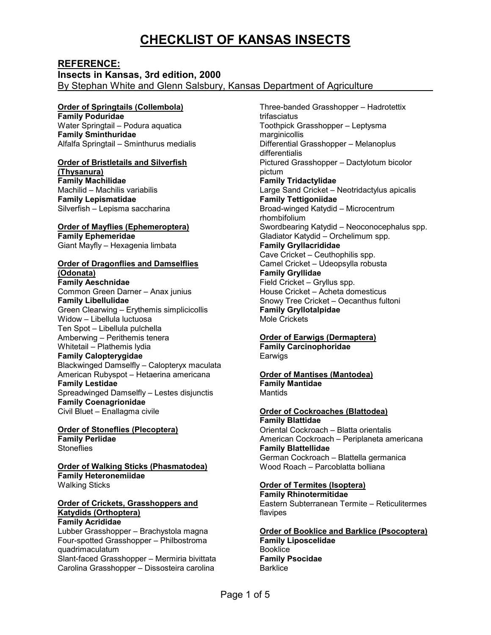# **CHECKLIST OF KANSAS INSECTS**

**REFERENCE: Insects in Kansas, 3rd edition, 2000**  By Stephan White and Glenn Salsbury, Kansas Department of Agriculture

# **Order of Springtails (Collembola)**

**Family Poduridae**  Water Springtail – Podura aquatica **Family Sminthuridae**  Alfalfa Springtail – Sminthurus medialis

# **Order of Bristletails and Silverfish**

**(Thysanura) Family Machilidae**  Machilid – Machilis variabilis **Family Lepismatidae**  Silverfish – Lepisma saccharina

# **Order of Mayflies (Ephemeroptera) Family Ephemeridae**

Giant Mayfly – Hexagenia limbata

# **Order of Dragonflies and Damselflies**

**(Odonata) Family Aeschnidae**  Common Green Darner – Anax junius **Family Libellulidae**  Green Clearwing – Erythemis simplicicollis Widow – Libellula luctuosa Ten Spot – Libellula pulchella Amberwing – Perithemis tenera Whitetail – Plathemis lydia **Family Calopterygidae**  Blackwinged Damselfly – Calopteryx maculata American Rubyspot – Hetaerina americana **Family Lestidae**  Spreadwinged Damselfly – Lestes disjunctis **Family Coenagrionidae**  Civil Bluet – Enallagma civile

**Order of Stoneflies (Plecoptera) Family Perlidae Stoneflies** 

**Order of Walking Sticks (Phasmatodea) Family Heteronemiidae**  Walking Sticks

#### **Order of Crickets, Grasshoppers and Katydids (Orthoptera) Family Acrididae**

Lubber Grasshopper – Brachystola magna Four-spotted Grasshopper – Philbostroma quadrimaculatum Slant-faced Grasshopper – Mermiria bivittata Carolina Grasshopper – Dissosteira carolina

Three-banded Grasshopper – Hadrotettix trifasciatus Toothpick Grasshopper – Leptysma marginicollis Differential Grasshopper – Melanoplus differentialis Pictured Grasshopper – Dactylotum bicolor pictum **Family Tridactylidae**  Large Sand Cricket – Neotridactylus apicalis **Family Tettigoniidae**  Broad-winged Katydid – Microcentrum rhombifolium Swordbearing Katydid – Neoconocephalus spp. Gladiator Katydid – Orchelimum spp. **Family Gryllacrididae**  Cave Cricket – Ceuthophilis spp. Camel Cricket – Udeopsylla robusta **Family Gryllidae**  Field Cricket – Gryllus spp. House Cricket – Acheta domesticus Snowy Tree Cricket – Oecanthus fultoni **Family Gryllotalpidae**  Mole Crickets

### **Order of Earwigs (Dermaptera)**

**Family Carcinophoridae**  Earwigs

#### **Order of Mantises (Mantodea) Family Mantidae**  Mantids

#### **Order of Cockroaches (Blattodea) Family Blattidae**

Oriental Cockroach – Blatta orientalis American Cockroach – Periplaneta americana **Family Blattellidae**  German Cockroach – Blattella germanica Wood Roach – Parcoblatta bolliana

# **Order of Termites (Isoptera)**

**Family Rhinotermitidae**  Eastern Subterranean Termite – Reticulitermes flavipes

**Order of Booklice and Barklice (Psocoptera) Family Liposcelidae**  Booklice **Family Psocidae Barklice**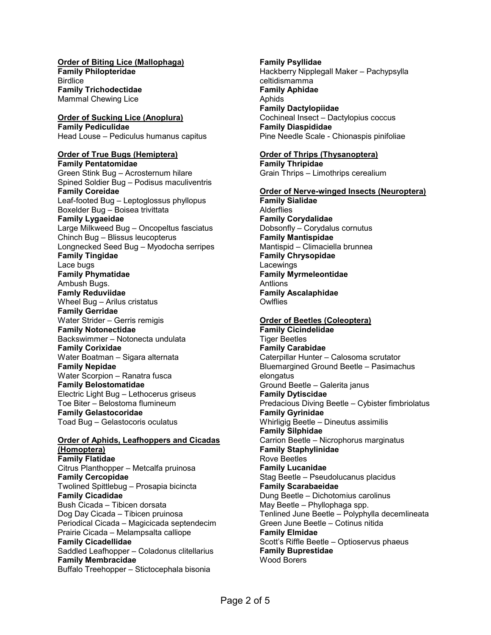### **Order of Biting Lice (Mallophaga)**

**Family Philopteridae Birdlice Family Trichodectidae**  Mammal Chewing Lice

# **Order of Sucking Lice (Anoplura) Family Pediculidae**

Head Louse – Pediculus humanus capitus

# **Order of True Bugs (Hemiptera)**

**Family Pentatomidae**  Green Stink Bug – Acrosternum hilare Spined Soldier Bug – Podisus maculiventris **Family Coreidae**  Leaf-footed Bug – Leptoglossus phyllopus Boxelder Bug – Boisea trivittata **Family Lygaeidae**  Large Milkweed Bug – Oncopeltus fasciatus Chinch Bug – Blissus leucopterus Longnecked Seed Bug – Myodocha serripes **Family Tingidae**  Lace bugs **Family Phymatidae**  Ambush Bugs. **Famly Reduviidae**  Wheel Bug – Arilus cristatus **Family Gerridae**  Water Strider – Gerris remigis **Family Notonectidae**  Backswimmer – Notonecta undulata **Family Corixidae**  Water Boatman – Sigara alternata **Family Nepidae**  Water Scorpion – Ranatra fusca **Family Belostomatidae**  Electric Light Bug – Lethocerus griseus Toe Biter – Belostoma flumineum **Family Gelastocoridae**  Toad Bug – Gelastocoris oculatus

# **Order of Aphids, Leafhoppers and Cicadas (Homoptera)**

**Family Flatidae**  Citrus Planthopper – Metcalfa pruinosa **Family Cercopidae**  Twolined Spittlebug – Prosapia bicincta **Family Cicadidae**  Bush Cicada – Tibicen dorsata Dog Day Cicada – Tibicen pruinosa Periodical Cicada – Magicicada septendecim Prairie Cicada – Melampsalta calliope **Family Cicadellidae**  Saddled Leafhopper – Coladonus clitellarius **Family Membracidae**  Buffalo Treehopper – Stictocephala bisonia

### **Family Psyllidae**  Hackberry Nipplegall Maker – Pachypsylla celtidismamma **Family Aphidae**  Aphids **Family Dactylopiidae**  Cochineal Insect – Dactylopius coccus

**Family Diaspididae**  Pine Needle Scale - Chionaspis pinifoliae

# **Order of Thrips (Thysanoptera)**

**Family Thripidae**  Grain Thrips – Limothrips cerealium

### **Order of Nerve-winged Insects (Neuroptera)**

**Family Sialidae Alderflies Family Corydalidae**  Dobsonfly – Corydalus cornutus **Family Mantispidae**  Mantispid – Climaciella brunnea **Family Chrysopidae**  Lacewings **Family Myrmeleontidae**  Antlions **Family Ascalaphidae Owlflies** 

### **Order of Beetles (Coleoptera)**

**Family Cicindelidae**  Tiger Beetles **Family Carabidae**  Caterpillar Hunter – Calosoma scrutator Bluemargined Ground Beetle – Pasimachus elongatus Ground Beetle – Galerita janus **Family Dytiscidae**  Predacious Diving Beetle – Cybister fimbriolatus **Family Gyrinidae**  Whirligig Beetle – Dineutus assimilis **Family Silphidae**  Carrion Beetle – Nicrophorus marginatus **Family Staphylinidae**  Rove Beetles **Family Lucanidae**  Stag Beetle – Pseudolucanus placidus **Family Scarabaeidae**  Dung Beetle – Dichotomius carolinus May Beetle – Phyllophaga spp. Tenlined June Beetle – Polyphylla decemlineata Green June Beetle – Cotinus nitida **Family Elmidae**  Scott's Riffle Beetle – Optioservus phaeus **Family Buprestidae**  Wood Borers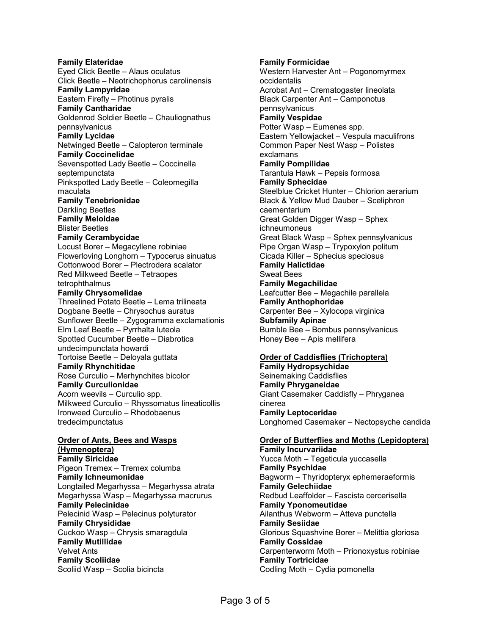### **Family Elateridae**  Eyed Click Beetle – Alaus oculatus Click Beetle – Neotrichophorus carolinensis **Family Lampyridae**  Eastern Firefly – Photinus pyralis **Family Cantharidae**  Goldenrod Soldier Beetle – Chauliognathus pennsylvanicus **Family Lycidae**  Netwinged Beetle – Calopteron terminale **Family Coccinelidae**  Sevenspotted Lady Beetle – Coccinella septempunctata Pinkspotted Lady Beetle – Coleomegilla maculata **Family Tenebrionidae**  Darkling Beetles **Family Meloidae**  Blister Beetles **Family Cerambycidae**  Locust Borer – Megacyllene robiniae Flowerloving Longhorn – Typocerus sinuatus Cottonwood Borer – Plectrodera scalator Red Milkweed Beetle – Tetraopes tetrophthalmus **Family Chrysomelidae**  Threelined Potato Beetle – Lema trilineata Dogbane Beetle – Chrysochus auratus Sunflower Beetle – Zygogramma exclamationis Elm Leaf Beetle – Pyrrhalta luteola Spotted Cucumber Beetle – Diabrotica undecimpunctata howardi Tortoise Beetle – Deloyala guttata **Family Rhynchitidae**  Rose Curculio – Merhynchites bicolor **Family Curculionidae**  Acorn weevils – Curculio spp. Milkweed Curculio – Rhyssomatus lineaticollis Ironweed Curculio – Rhodobaenus tredecimpunctatus **Order of Ants, Bees and Wasps (Hymenoptera) Family Siricidae**  Pigeon Tremex – Tremex columba **Family Ichneumonidae**  Longtailed Megarhyssa – Megarhyssa atrata Megarhyssa Wasp – Megarhyssa macrurus **Family Pelecinidae**  Pelecinid Wasp – Pelecinus polyturator **Family Chrysididae**  Cuckoo Wasp – Chrysis smaragdula **Family Mutillidae**  Velvet Ants

**Family Scoliidae**  Scoliid Wasp – Scolia bicincta

# **Family Formicidae**

Western Harvester Ant – Pogonomyrmex occidentalis Acrobat Ant – Crematogaster lineolata Black Carpenter Ant – Camponotus pennsylvanicus **Family Vespidae**  Potter Wasp – Eumenes spp. Eastern Yellowjacket – Vespula maculifrons Common Paper Nest Wasp – Polistes exclamans **Family Pompilidae**  Tarantula Hawk – Pepsis formosa **Family Sphecidae**  Steelblue Cricket Hunter – Chlorion aerarium Black & Yellow Mud Dauber – Sceliphron caementarium Great Golden Digger Wasp – Sphex ichneumoneus Great Black Wasp – Sphex pennsylvanicus Pipe Organ Wasp – Trypoxylon politum Cicada Killer – Sphecius speciosus **Family Halictidae**  Sweat Bees **Family Megachilidae**  Leafcutter Bee – Megachile parallela **Family Anthophoridae**  Carpenter Bee – Xylocopa virginica **Subfamily Apinae**  Bumble Bee – Bombus pennsylvanicus Honey Bee – Apis mellifera

# **Order of Caddisflies (Trichoptera)**

**Family Hydropsychidae**  Seinemaking Caddisflies **Family Phryganeidae**  Giant Casemaker Caddisfly – Phryganea cinerea **Family Leptoceridae**  Longhorned Casemaker – Nectopsyche candida

# **Order of Butterflies and Moths (Lepidoptera)**

**Family Incurvariidae**  Yucca Moth – Tegeticula yuccasella **Family Psychidae**  Bagworm – Thyridopteryx ephemeraeformis **Family Gelechiidae**  Redbud Leaffolder – Fascista cercerisella **Family Yponomeutidae**  Ailanthus Webworm – Atteva punctella **Family Sesiidae**  Glorious Squashvine Borer – Melittia gloriosa **Family Cossidae**  Carpenterworm Moth – Prionoxystus robiniae **Family Tortricidae**  Codling Moth – Cydia pomonella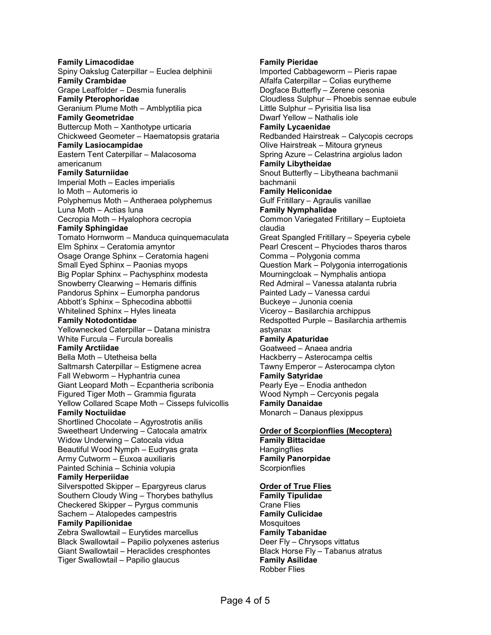**Family Limacodidae**  Spiny Oakslug Caterpillar – Euclea delphinii **Family Crambidae**  Grape Leaffolder – Desmia funeralis **Family Pterophoridae**  Geranium Plume Moth – Amblyptilia pica **Family Geometridae**  Buttercup Moth – Xanthotype urticaria Chickweed Geometer – Haematopsis grataria **Family Lasiocampidae**  Eastern Tent Caterpillar – Malacosoma americanum **Family Saturniidae**  Imperial Moth – Eacles imperialis Io Moth – Automeris io Polyphemus Moth – Antheraea polyphemus Luna Moth – Actias luna Cecropia Moth – Hyalophora cecropia **Family Sphingidae**  Tomato Hornworm – Manduca quinquemaculata Elm Sphinx – Ceratomia amyntor Osage Orange Sphinx – Ceratomia hageni Small Eyed Sphinx – Paonias myops Big Poplar Sphinx – Pachysphinx modesta Snowberry Clearwing – Hemaris diffinis Pandorus Sphinx – Eumorpha pandorus Abbott's Sphinx – Sphecodina abbottii Whitelined Sphinx – Hyles lineata **Family Notodontidae**  Yellownecked Caterpillar – Datana ministra White Furcula – Furcula borealis **Family Arctiidae**  Bella Moth – Utetheisa bella Saltmarsh Caterpillar – Estigmene acrea Fall Webworm – Hyphantria cunea Giant Leopard Moth – Ecpantheria scribonia Figured Tiger Moth – Grammia figurata Yellow Collared Scape Moth – Cisseps fulvicollis **Family Noctuiidae**  Shortlined Chocolate – Agyrostrotis anilis Sweetheart Underwing – Catocala amatrix Widow Underwing – Catocala vidua Beautiful Wood Nymph – Eudryas grata Army Cutworm – Euxoa auxiliaris Painted Schinia – Schinia volupia **Family Herperiidae**  Silverspotted Skipper – Epargyreus clarus Southern Cloudy Wing – Thorybes bathyllus Checkered Skipper – Pyrgus communis Sachem – Atalopedes campestris **Family Papilionidae**  Zebra Swallowtail – Eurytides marcellus Black Swallowtail – Papilio polyxenes asterius Giant Swallowtail – Heraclides cresphontes Tiger Swallowtail – Papilio glaucus

**Family Pieridae**  Imported Cabbageworm – Pieris rapae Alfalfa Caterpillar – Colias eurytheme Dogface Butterfly – Zerene cesonia Cloudless Sulphur – Phoebis sennae eubule Little Sulphur – Pyrisitia lisa lisa Dwarf Yellow – Nathalis iole **Family Lycaenidae**  Redbanded Hairstreak – Calycopis cecrops Olive Hairstreak – Mitoura gryneus Spring Azure – Celastrina argiolus ladon **Family Libytheidae**  Snout Butterfly – Libytheana bachmanii bachmanii **Family Heliconidae**  Gulf Fritillary – Agraulis vanillae **Family Nymphalidae**  Common Variegated Fritillary – Euptoieta claudia Great Spangled Fritillary – Speyeria cybele Pearl Crescent – Phyciodes tharos tharos Comma – Polygonia comma Question Mark – Polygonia interrogationis Mourningcloak – Nymphalis antiopa Red Admiral – Vanessa atalanta rubria Painted Lady – Vanessa cardui Buckeye – Junonia coenia Viceroy – Basilarchia archippus Redspotted Purple – Basilarchia arthemis astyanax **Family Apaturidae**  Goatweed – Anaea andria Hackberry – Asterocampa celtis Tawny Emperor – Asterocampa clyton **Family Satyridae**  Pearly Eye – Enodia anthedon Wood Nymph – Cercyonis pegala **Family Danaidae**  Monarch – Danaus plexippus

#### **Order of Scorpionflies (Mecoptera) Family Bittacidae**

**Hangingflies Family Panorpidae Scorpionflies** 

# **Order of True Flies**

**Family Tipulidae**  Crane Flies **Family Culicidae Mosquitoes Family Tabanidae**  Deer Fly – Chrysops vittatus Black Horse Fly – Tabanus atratus **Family Asilidae**  Robber Flies